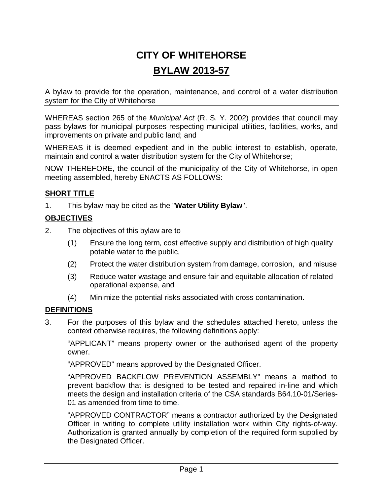# **CITY OF WHITEHORSE BYLAW 2013-57**

A bylaw to provide for the operation, maintenance, and control of a water distribution system for the City of Whitehorse

WHEREAS section 265 of the *Municipal Act* (R. S. Y. 2002) provides that council may pass bylaws for municipal purposes respecting municipal utilities, facilities, works, and improvements on private and public land; and

WHEREAS it is deemed expedient and in the public interest to establish, operate, maintain and control a water distribution system for the City of Whitehorse;

NOW THEREFORE, the council of the municipality of the City of Whitehorse, in open meeting assembled, hereby ENACTS AS FOLLOWS:

# **SHORT TITLE**

1. This bylaw may be cited as the "**Water Utility Bylaw**".

# **OBJECTIVES**

- 2. The objectives of this bylaw are to
	- (1) Ensure the long term, cost effective supply and distribution of high quality potable water to the public,
	- (2) Protect the water distribution system from damage, corrosion, and misuse
	- (3) Reduce water wastage and ensure fair and equitable allocation of related operational expense, and
	- (4) Minimize the potential risks associated with cross contamination.

# **DEFINITIONS**

3. For the purposes of this bylaw and the schedules attached hereto, unless the context otherwise requires, the following definitions apply:

"APPLICANT" means property owner or the authorised agent of the property owner.

"APPROVED" means approved by the Designated Officer.

"APPROVED BACKFLOW PREVENTION ASSEMBLY" means a method to prevent backflow that is designed to be tested and repaired in-line and which meets the design and installation criteria of the CSA standards B64.10-01/Series-01 as amended from time to time.

"APPROVED CONTRACTOR" means a contractor authorized by the Designated Officer in writing to complete utility installation work within City rights-of-way. Authorization is granted annually by completion of the required form supplied by the Designated Officer.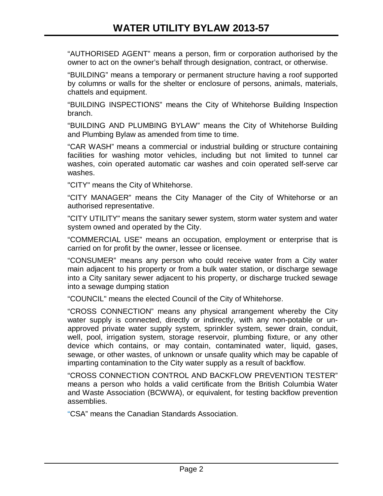"AUTHORISED AGENT" means a person, firm or corporation authorised by the owner to act on the owner's behalf through designation, contract, or otherwise.

"BUILDING" means a temporary or permanent structure having a roof supported by columns or walls for the shelter or enclosure of persons, animals, materials, chattels and equipment.

"BUILDING INSPECTIONS" means the City of Whitehorse Building Inspection branch.

"BUILDING AND PLUMBING BYLAW" means the City of Whitehorse Building and Plumbing Bylaw as amended from time to time.

"CAR WASH" means a commercial or industrial building or structure containing facilities for washing motor vehicles, including but not limited to tunnel car washes, coin operated automatic car washes and coin operated self-serve car washes.

"CITY" means the City of Whitehorse.

"CITY MANAGER" means the City Manager of the City of Whitehorse or an authorised representative.

"CITY UTILITY" means the sanitary sewer system, storm water system and water system owned and operated by the City.

"COMMERCIAL USE" means an occupation, employment or enterprise that is carried on for profit by the owner, lessee or licensee.

"CONSUMER" means any person who could receive water from a City water main adjacent to his property or from a bulk water station, or discharge sewage into a City sanitary sewer adjacent to his property, or discharge trucked sewage into a sewage dumping station

"COUNCIL" means the elected Council of the City of Whitehorse.

"CROSS CONNECTION" means any physical arrangement whereby the City water supply is connected, directly or indirectly, with any non-potable or unapproved private water supply system, sprinkler system, sewer drain, conduit, well, pool, irrigation system, storage reservoir, plumbing fixture, or any other device which contains, or may contain, contaminated water, liquid, gases, sewage, or other wastes, of unknown or unsafe quality which may be capable of imparting contamination to the City water supply as a result of backflow.

"CROSS CONNECTION CONTROL AND BACKFLOW PREVENTION TESTER" means a person who holds a valid certificate from the British Columbia Water and Waste Association (BCWWA), or equivalent, for testing backflow prevention assemblies.

"CSA" means the Canadian Standards Association.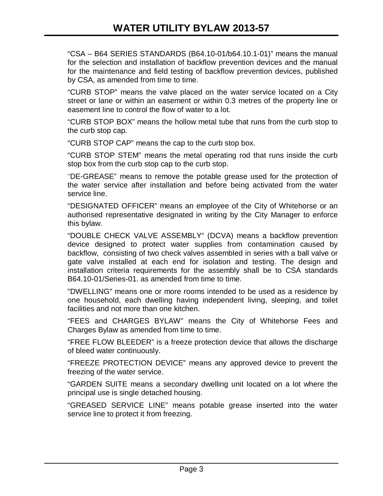"CSA – B64 SERIES STANDARDS (B64.10-01/b64.10.1-01)" means the manual for the selection and installation of backflow prevention devices and the manual for the maintenance and field testing of backflow prevention devices, published by CSA, as amended from time to time.

"CURB STOP" means the valve placed on the water service located on a City street or lane or within an easement or within 0.3 metres of the property line or easement line to control the flow of water to a lot.

"CURB STOP BOX" means the hollow metal tube that runs from the curb stop to the curb stop cap.

"CURB STOP CAP" means the cap to the curb stop box.

"CURB STOP STEM" means the metal operating rod that runs inside the curb stop box from the curb stop cap to the curb stop.

"DE-GREASE" means to remove the potable grease used for the protection of the water service after installation and before being activated from the water service line.

"DESIGNATED OFFICER" means an employee of the City of Whitehorse or an authorised representative designated in writing by the City Manager to enforce this bylaw.

"DOUBLE CHECK VALVE ASSEMBLY" (DCVA) means a backflow prevention device designed to protect water supplies from contamination caused by backflow, consisting of two check valves assembled in series with a ball valve or gate valve installed at each end for isolation and testing. The design and installation criteria requirements for the assembly shall be to CSA standards B64.10-01/Series-01. as amended from time to time.

"DWELLING" means one or more rooms intended to be used as a residence by one household, each dwelling having independent living, sleeping, and toilet facilities and not more than one kitchen.

"FEES and CHARGES BYLAW" means the City of Whitehorse Fees and Charges Bylaw as amended from time to time.

"FREE FLOW BLEEDER" is a freeze protection device that allows the discharge of bleed water continuously.

"FREEZE PROTECTION DEVICE" means any approved device to prevent the freezing of the water service.

"GARDEN SUITE means a secondary dwelling unit located on a lot where the principal use is single detached housing.

"GREASED SERVICE LINE" means potable grease inserted into the water service line to protect it from freezing.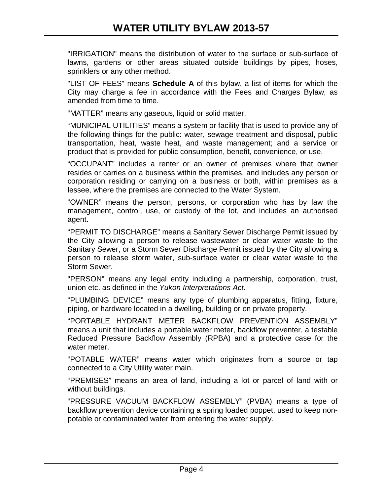"IRRIGATION" means the distribution of water to the surface or sub-surface of lawns, gardens or other areas situated outside buildings by pipes, hoses, sprinklers or any other method.

"LIST OF FEES" means **Schedule A** of this bylaw, a list of items for which the City may charge a fee in accordance with the Fees and Charges Bylaw, as amended from time to time.

"MATTER" means any gaseous, liquid or solid matter.

"MUNICIPAL UTILITIES" means a system or facility that is used to provide any of the following things for the public: water, sewage treatment and disposal, public transportation, heat, waste heat, and waste management; and a service or product that is provided for public consumption, benefit, convenience, or use.

"OCCUPANT" includes a renter or an owner of premises where that owner resides or carries on a business within the premises, and includes any person or corporation residing or carrying on a business or both, within premises as a lessee, where the premises are connected to the Water System.

"OWNER" means the person, persons, or corporation who has by law the management, control, use, or custody of the lot, and includes an authorised agent.

"PERMIT TO DISCHARGE" means a Sanitary Sewer Discharge Permit issued by the City allowing a person to release wastewater or clear water waste to the Sanitary Sewer, or a Storm Sewer Discharge Permit issued by the City allowing a person to release storm water, sub-surface water or clear water waste to the Storm Sewer.

"PERSON" means any legal entity including a partnership, corporation, trust, union etc. as defined in the *Yukon Interpretations Act*.

"PLUMBING DEVICE" means any type of plumbing apparatus, fitting, fixture, piping, or hardware located in a dwelling, building or on private property.

"PORTABLE HYDRANT METER BACKFLOW PREVENTION ASSEMBLY" means a unit that includes a portable water meter, backflow preventer, a testable Reduced Pressure Backflow Assembly (RPBA) and a protective case for the water meter.

"POTABLE WATER" means water which originates from a source or tap connected to a City Utility water main.

"PREMISES" means an area of land, including a lot or parcel of land with or without buildings.

"PRESSURE VACUUM BACKFLOW ASSEMBLY" (PVBA) means a type of backflow prevention device containing a spring loaded poppet, used to keep nonpotable or contaminated water from entering the water supply.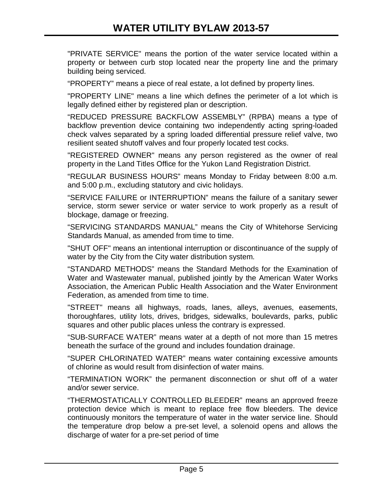"PRIVATE SERVICE" means the portion of the water service located within a property or between curb stop located near the property line and the primary building being serviced.

"PROPERTY" means a piece of real estate, a lot defined by property lines.

"PROPERTY LINE" means a line which defines the perimeter of a lot which is legally defined either by registered plan or description.

"REDUCED PRESSURE BACKFLOW ASSEMBLY" (RPBA) means a type of backflow prevention device containing two independently acting spring-loaded check valves separated by a spring loaded differential pressure relief valve, two resilient seated shutoff valves and four properly located test cocks.

"REGISTERED OWNER" means any person registered as the owner of real property in the Land Titles Office for the Yukon Land Registration District.

"REGULAR BUSINESS HOURS" means Monday to Friday between 8:00 a.m. and 5:00 p.m., excluding statutory and civic holidays.

"SERVICE FAILURE or INTERRUPTION" means the failure of a sanitary sewer service, storm sewer service or water service to work properly as a result of blockage, damage or freezing.

"SERVICING STANDARDS MANUAL" means the City of Whitehorse Servicing Standards Manual, as amended from time to time.

"SHUT OFF" means an intentional interruption or discontinuance of the supply of water by the City from the City water distribution system.

"STANDARD METHODS" means the Standard Methods for the Examination of Water and Wastewater manual, published jointly by the American Water Works Association, the American Public Health Association and the Water Environment Federation, as amended from time to time.

"STREET" means all highways, roads, lanes, alleys, avenues, easements, thoroughfares, utility lots, drives, bridges, sidewalks, boulevards, parks, public squares and other public places unless the contrary is expressed.

"SUB-SURFACE WATER" means water at a depth of not more than 15 metres beneath the surface of the ground and includes foundation drainage.

"SUPER CHLORINATED WATER" means water containing excessive amounts of chlorine as would result from disinfection of water mains.

"TERMINATION WORK" the permanent disconnection or shut off of a water and/or sewer service.

"THERMOSTATICALLY CONTROLLED BLEEDER" means an approved freeze protection device which is meant to replace free flow bleeders. The device continuously monitors the temperature of water in the water service line. Should the temperature drop below a pre-set level, a solenoid opens and allows the discharge of water for a pre-set period of time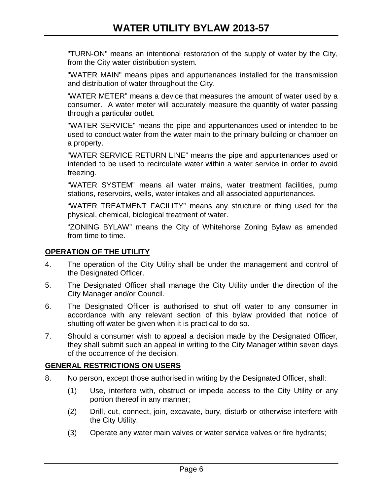"TURN-ON" means an intentional restoration of the supply of water by the City, from the City water distribution system.

"WATER MAIN" means pipes and appurtenances installed for the transmission and distribution of water throughout the City.

'WATER METER" means a device that measures the amount of water used by a consumer. A water meter will accurately measure the quantity of water passing through a particular outlet.

"WATER SERVICE" means the pipe and appurtenances used or intended to be used to conduct water from the water main to the primary building or chamber on a property.

"WATER SERVICE RETURN LINE" means the pipe and appurtenances used or intended to be used to recirculate water within a water service in order to avoid freezing.

"WATER SYSTEM" means all water mains, water treatment facilities, pump stations, reservoirs, wells, water intakes and all associated appurtenances.

"WATER TREATMENT FACILITY" means any structure or thing used for the physical, chemical, biological treatment of water.

"ZONING BYLAW" means the City of Whitehorse Zoning Bylaw as amended from time to time.

# **OPERATION OF THE UTILITY**

- 4. The operation of the City Utility shall be under the management and control of the Designated Officer.
- 5. The Designated Officer shall manage the City Utility under the direction of the City Manager and/or Council.
- 6. The Designated Officer is authorised to shut off water to any consumer in accordance with any relevant section of this bylaw provided that notice of shutting off water be given when it is practical to do so.
- 7. Should a consumer wish to appeal a decision made by the Designated Officer, they shall submit such an appeal in writing to the City Manager within seven days of the occurrence of the decision.

# **GENERAL RESTRICTIONS ON USERS**

- 8. No person, except those authorised in writing by the Designated Officer, shall:
	- (1) Use, interfere with, obstruct or impede access to the City Utility or any portion thereof in any manner;
	- (2) Drill, cut, connect, join, excavate, bury, disturb or otherwise interfere with the City Utility;
	- (3) Operate any water main valves or water service valves or fire hydrants;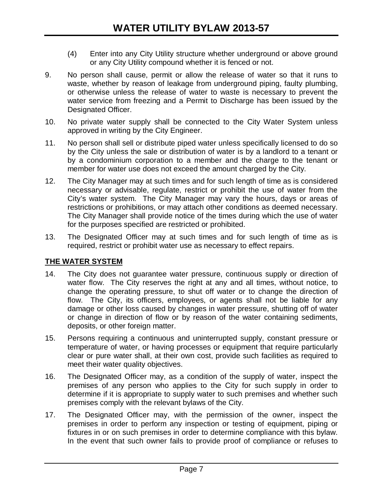- (4) Enter into any City Utility structure whether underground or above ground or any City Utility compound whether it is fenced or not.
- 9. No person shall cause, permit or allow the release of water so that it runs to waste, whether by reason of leakage from underground piping, faulty plumbing, or otherwise unless the release of water to waste is necessary to prevent the water service from freezing and a Permit to Discharge has been issued by the Designated Officer.
- 10. No private water supply shall be connected to the City Water System unless approved in writing by the City Engineer.
- 11. No person shall sell or distribute piped water unless specifically licensed to do so by the City unless the sale or distribution of water is by a landlord to a tenant or by a condominium corporation to a member and the charge to the tenant or member for water use does not exceed the amount charged by the City.
- 12. The City Manager may at such times and for such length of time as is considered necessary or advisable, regulate, restrict or prohibit the use of water from the City's water system. The City Manager may vary the hours, days or areas of restrictions or prohibitions, or may attach other conditions as deemed necessary. The City Manager shall provide notice of the times during which the use of water for the purposes specified are restricted or prohibited.
- 13. The Designated Officer may at such times and for such length of time as is required, restrict or prohibit water use as necessary to effect repairs.

# **THE WATER SYSTEM**

- 14. The City does not guarantee water pressure, continuous supply or direction of water flow. The City reserves the right at any and all times, without notice, to change the operating pressure, to shut off water or to change the direction of flow. The City, its officers, employees, or agents shall not be liable for any damage or other loss caused by changes in water pressure, shutting off of water or change in direction of flow or by reason of the water containing sediments, deposits, or other foreign matter.
- 15. Persons requiring a continuous and uninterrupted supply, constant pressure or temperature of water, or having processes or equipment that require particularly clear or pure water shall, at their own cost, provide such facilities as required to meet their water quality objectives.
- 16. The Designated Officer may, as a condition of the supply of water, inspect the premises of any person who applies to the City for such supply in order to determine if it is appropriate to supply water to such premises and whether such premises comply with the relevant bylaws of the City.
- 17. The Designated Officer may, with the permission of the owner, inspect the premises in order to perform any inspection or testing of equipment, piping or fixtures in or on such premises in order to determine compliance with this bylaw. In the event that such owner fails to provide proof of compliance or refuses to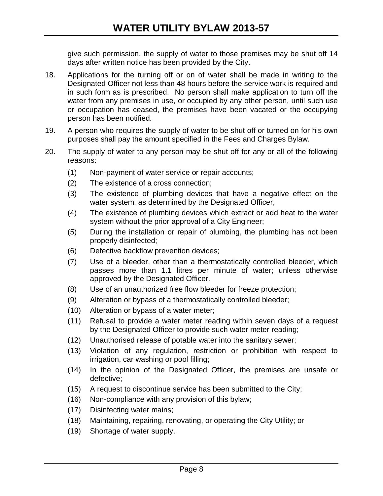give such permission, the supply of water to those premises may be shut off 14 days after written notice has been provided by the City.

- 18. Applications for the turning off or on of water shall be made in writing to the Designated Officer not less than 48 hours before the service work is required and in such form as is prescribed. No person shall make application to turn off the water from any premises in use, or occupied by any other person, until such use or occupation has ceased, the premises have been vacated or the occupying person has been notified.
- 19. A person who requires the supply of water to be shut off or turned on for his own purposes shall pay the amount specified in the Fees and Charges Bylaw.
- 20. The supply of water to any person may be shut off for any or all of the following reasons:
	- (1) Non-payment of water service or repair accounts;
	- (2) The existence of a cross connection;
	- (3) The existence of plumbing devices that have a negative effect on the water system, as determined by the Designated Officer,
	- (4) The existence of plumbing devices which extract or add heat to the water system without the prior approval of a City Engineer;
	- (5) During the installation or repair of plumbing, the plumbing has not been properly disinfected;
	- (6) Defective backflow prevention devices;
	- (7) Use of a bleeder, other than a thermostatically controlled bleeder, which passes more than 1.1 litres per minute of water; unless otherwise approved by the Designated Officer.
	- (8) Use of an unauthorized free flow bleeder for freeze protection;
	- (9) Alteration or bypass of a thermostatically controlled bleeder;
	- (10) Alteration or bypass of a water meter;
	- (11) Refusal to provide a water meter reading within seven days of a request by the Designated Officer to provide such water meter reading;
	- (12) Unauthorised release of potable water into the sanitary sewer;
	- (13) Violation of any regulation, restriction or prohibition with respect to irrigation, car washing or pool filling;
	- (14) In the opinion of the Designated Officer, the premises are unsafe or defective;
	- (15) A request to discontinue service has been submitted to the City;
	- (16) Non-compliance with any provision of this bylaw;
	- (17) Disinfecting water mains;
	- (18) Maintaining, repairing, renovating, or operating the City Utility; or
	- (19) Shortage of water supply.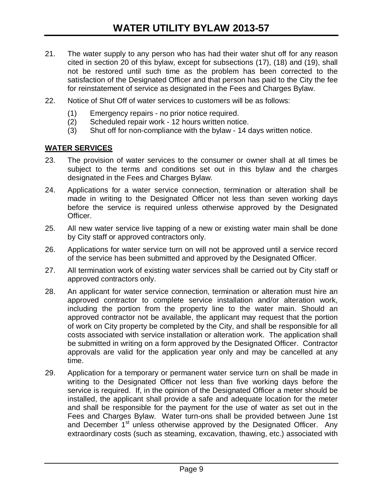- 21. The water supply to any person who has had their water shut off for any reason cited in section 20 of this bylaw, except for subsections (17), (18) and (19), shall not be restored until such time as the problem has been corrected to the satisfaction of the Designated Officer and that person has paid to the City the fee for reinstatement of service as designated in the Fees and Charges Bylaw.
- 22. Notice of Shut Off of water services to customers will be as follows:
	- (1) Emergency repairs no prior notice required.
	- (2) Scheduled repair work 12 hours written notice.
	- (3) Shut off for non-compliance with the bylaw 14 days written notice.

#### **WATER SERVICES**

- 23. The provision of water services to the consumer or owner shall at all times be subject to the terms and conditions set out in this bylaw and the charges designated in the Fees and Charges Bylaw.
- 24. Applications for a water service connection, termination or alteration shall be made in writing to the Designated Officer not less than seven working days before the service is required unless otherwise approved by the Designated Officer.
- 25. All new water service live tapping of a new or existing water main shall be done by City staff or approved contractors only.
- 26. Applications for water service turn on will not be approved until a service record of the service has been submitted and approved by the Designated Officer.
- 27. All termination work of existing water services shall be carried out by City staff or approved contractors only.
- 28. An applicant for water service connection, termination or alteration must hire an approved contractor to complete service installation and/or alteration work, including the portion from the property line to the water main. Should an approved contractor not be available, the applicant may request that the portion of work on City property be completed by the City, and shall be responsible for all costs associated with service installation or alteration work. The application shall be submitted in writing on a form approved by the Designated Officer. Contractor approvals are valid for the application year only and may be cancelled at any time.
- 29. Application for a temporary or permanent water service turn on shall be made in writing to the Designated Officer not less than five working days before the service is required. If, in the opinion of the Designated Officer a meter should be installed, the applicant shall provide a safe and adequate location for the meter and shall be responsible for the payment for the use of water as set out in the Fees and Charges Bylaw. Water turn-ons shall be provided between June 1st and December 1<sup>st</sup> unless otherwise approved by the Designated Officer. Any extraordinary costs (such as steaming, excavation, thawing, etc.) associated with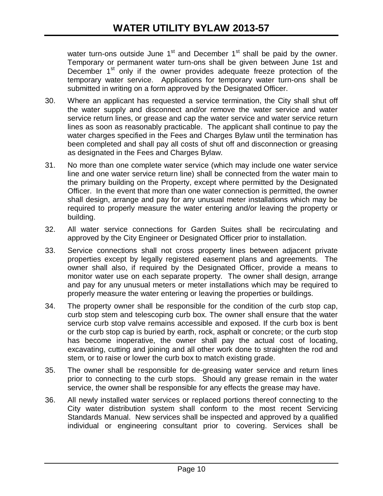water turn-ons outside June  $1<sup>st</sup>$  and December  $1<sup>st</sup>$  shall be paid by the owner. Temporary or permanent water turn-ons shall be given between June 1st and December  $1<sup>st</sup>$  only if the owner provides adequate freeze protection of the temporary water service. Applications for temporary water turn-ons shall be submitted in writing on a form approved by the Designated Officer.

- 30. Where an applicant has requested a service termination, the City shall shut off the water supply and disconnect and/or remove the water service and water service return lines, or grease and cap the water service and water service return lines as soon as reasonably practicable. The applicant shall continue to pay the water charges specified in the Fees and Charges Bylaw until the termination has been completed and shall pay all costs of shut off and disconnection or greasing as designated in the Fees and Charges Bylaw.
- 31. No more than one complete water service (which may include one water service line and one water service return line) shall be connected from the water main to the primary building on the Property, except where permitted by the Designated Officer. In the event that more than one water connection is permitted, the owner shall design, arrange and pay for any unusual meter installations which may be required to properly measure the water entering and/or leaving the property or building.
- 32. All water service connections for Garden Suites shall be recirculating and approved by the City Engineer or Designated Officer prior to installation.
- 33. Service connections shall not cross property lines between adjacent private properties except by legally registered easement plans and agreements. The owner shall also, if required by the Designated Officer, provide a means to monitor water use on each separate property. The owner shall design, arrange and pay for any unusual meters or meter installations which may be required to properly measure the water entering or leaving the properties or buildings.
- 34. The property owner shall be responsible for the condition of the curb stop cap, curb stop stem and telescoping curb box. The owner shall ensure that the water service curb stop valve remains accessible and exposed. If the curb box is bent or the curb stop cap is buried by earth, rock, asphalt or concrete; or the curb stop has become inoperative, the owner shall pay the actual cost of locating, excavating, cutting and joining and all other work done to straighten the rod and stem, or to raise or lower the curb box to match existing grade.
- 35. The owner shall be responsible for de-greasing water service and return lines prior to connecting to the curb stops. Should any grease remain in the water service, the owner shall be responsible for any effects the grease may have.
- 36. All newly installed water services or replaced portions thereof connecting to the City water distribution system shall conform to the most recent Servicing Standards Manual. New services shall be inspected and approved by a qualified individual or engineering consultant prior to covering. Services shall be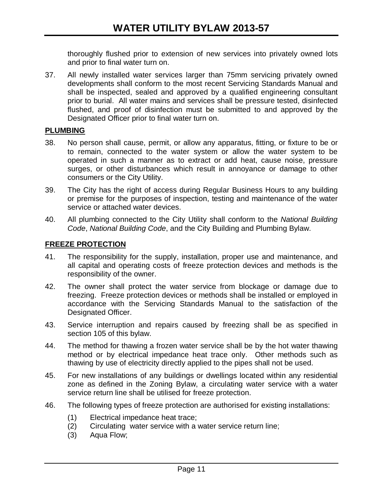thoroughly flushed prior to extension of new services into privately owned lots and prior to final water turn on.

37. All newly installed water services larger than 75mm servicing privately owned developments shall conform to the most recent Servicing Standards Manual and shall be inspected, sealed and approved by a qualified engineering consultant prior to burial. All water mains and services shall be pressure tested, disinfected flushed, and proof of disinfection must be submitted to and approved by the Designated Officer prior to final water turn on.

#### **PLUMBING**

- 38. No person shall cause, permit, or allow any apparatus, fitting, or fixture to be or to remain, connected to the water system or allow the water system to be operated in such a manner as to extract or add heat, cause noise, pressure surges, or other disturbances which result in annoyance or damage to other consumers or the City Utility.
- 39. The City has the right of access during Regular Business Hours to any building or premise for the purposes of inspection, testing and maintenance of the water service or attached water devices.
- 40. All plumbing connected to the City Utility shall conform to the *National Building Code*, *National Building Code*, and the City Building and Plumbing Bylaw.

# **FREEZE PROTECTION**

- 41. The responsibility for the supply, installation, proper use and maintenance, and all capital and operating costs of freeze protection devices and methods is the responsibility of the owner.
- 42. The owner shall protect the water service from blockage or damage due to freezing. Freeze protection devices or methods shall be installed or employed in accordance with the Servicing Standards Manual to the satisfaction of the Designated Officer.
- 43. Service interruption and repairs caused by freezing shall be as specified in section 105 of this bylaw.
- 44. The method for thawing a frozen water service shall be by the hot water thawing method or by electrical impedance heat trace only. Other methods such as thawing by use of electricity directly applied to the pipes shall not be used.
- 45. For new installations of any buildings or dwellings located within any residential zone as defined in the Zoning Bylaw, a circulating water service with a water service return line shall be utilised for freeze protection.
- 46. The following types of freeze protection are authorised for existing installations:
	- (1) Electrical impedance heat trace;
	- (2) Circulating water service with a water service return line;
	- (3) Aqua Flow;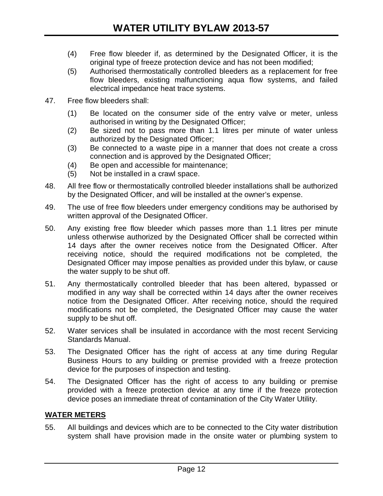- (4) Free flow bleeder if, as determined by the Designated Officer, it is the original type of freeze protection device and has not been modified;
- (5) Authorised thermostatically controlled bleeders as a replacement for free flow bleeders, existing malfunctioning aqua flow systems, and failed electrical impedance heat trace systems.
- 47. Free flow bleeders shall:
	- (1) Be located on the consumer side of the entry valve or meter, unless authorised in writing by the Designated Officer;
	- (2) Be sized not to pass more than 1.1 litres per minute of water unless authorized by the Designated Officer;
	- (3) Be connected to a waste pipe in a manner that does not create a cross connection and is approved by the Designated Officer;
	- (4) Be open and accessible for maintenance;
	- (5) Not be installed in a crawl space.
- 48. All free flow or thermostatically controlled bleeder installations shall be authorized by the Designated Officer, and will be installed at the owner's expense.
- 49. The use of free flow bleeders under emergency conditions may be authorised by written approval of the Designated Officer.
- 50. Any existing free flow bleeder which passes more than 1.1 litres per minute unless otherwise authorized by the Designated Officer shall be corrected within 14 days after the owner receives notice from the Designated Officer. After receiving notice, should the required modifications not be completed, the Designated Officer may impose penalties as provided under this bylaw, or cause the water supply to be shut off.
- 51. Any thermostatically controlled bleeder that has been altered, bypassed or modified in any way shall be corrected within 14 days after the owner receives notice from the Designated Officer. After receiving notice, should the required modifications not be completed, the Designated Officer may cause the water supply to be shut off.
- 52. Water services shall be insulated in accordance with the most recent Servicing Standards Manual.
- 53. The Designated Officer has the right of access at any time during Regular Business Hours to any building or premise provided with a freeze protection device for the purposes of inspection and testing.
- 54. The Designated Officer has the right of access to any building or premise provided with a freeze protection device at any time if the freeze protection device poses an immediate threat of contamination of the City Water Utility.

# **WATER METERS**

55. All buildings and devices which are to be connected to the City water distribution system shall have provision made in the onsite water or plumbing system to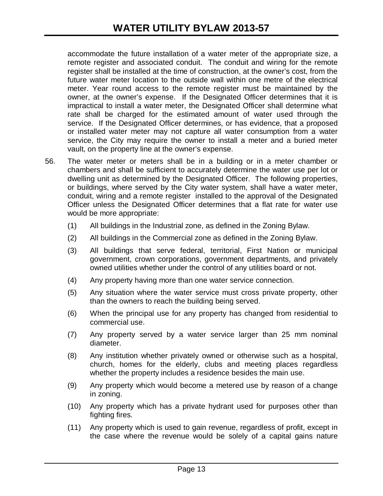accommodate the future installation of a water meter of the appropriate size, a remote register and associated conduit. The conduit and wiring for the remote register shall be installed at the time of construction, at the owner's cost, from the future water meter location to the outside wall within one metre of the electrical meter. Year round access to the remote register must be maintained by the owner, at the owner's expense. If the Designated Officer determines that it is impractical to install a water meter, the Designated Officer shall determine what rate shall be charged for the estimated amount of water used through the service. If the Designated Officer determines, or has evidence, that a proposed or installed water meter may not capture all water consumption from a water service, the City may require the owner to install a meter and a buried meter vault, on the property line at the owner's expense.

- 56. The water meter or meters shall be in a building or in a meter chamber or chambers and shall be sufficient to accurately determine the water use per lot or dwelling unit as determined by the Designated Officer. The following properties, or buildings, where served by the City water system, shall have a water meter, conduit, wiring and a remote register installed to the approval of the Designated Officer unless the Designated Officer determines that a flat rate for water use would be more appropriate:
	- (1) All buildings in the Industrial zone, as defined in the Zoning Bylaw.
	- (2) All buildings in the Commercial zone as defined in the Zoning Bylaw.
	- (3) All buildings that serve federal, territorial, First Nation or municipal government, crown corporations, government departments, and privately owned utilities whether under the control of any utilities board or not.
	- (4) Any property having more than one water service connection.
	- (5) Any situation where the water service must cross private property, other than the owners to reach the building being served.
	- (6) When the principal use for any property has changed from residential to commercial use.
	- (7) Any property served by a water service larger than 25 mm nominal diameter.
	- (8) Any institution whether privately owned or otherwise such as a hospital, church, homes for the elderly, clubs and meeting places regardless whether the property includes a residence besides the main use.
	- (9) Any property which would become a metered use by reason of a change in zoning.
	- (10) Any property which has a private hydrant used for purposes other than fighting fires.
	- (11) Any property which is used to gain revenue, regardless of profit, except in the case where the revenue would be solely of a capital gains nature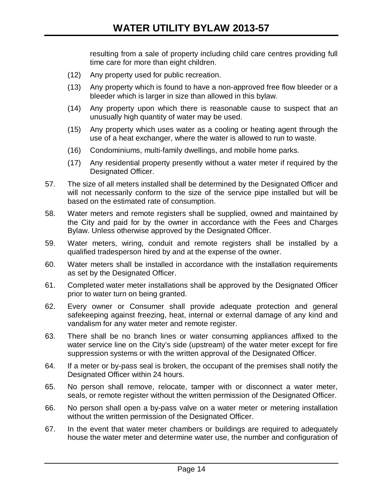resulting from a sale of property including child care centres providing full time care for more than eight children.

- (12) Any property used for public recreation.
- (13) Any property which is found to have a non-approved free flow bleeder or a bleeder which is larger in size than allowed in this bylaw.
- (14) Any property upon which there is reasonable cause to suspect that an unusually high quantity of water may be used.
- (15) Any property which uses water as a cooling or heating agent through the use of a heat exchanger, where the water is allowed to run to waste.
- (16) Condominiums, multi-family dwellings, and mobile home parks.
- (17) Any residential property presently without a water meter if required by the Designated Officer.
- 57. The size of all meters installed shall be determined by the Designated Officer and will not necessarily conform to the size of the service pipe installed but will be based on the estimated rate of consumption.
- 58. Water meters and remote registers shall be supplied, owned and maintained by the City and paid for by the owner in accordance with the Fees and Charges Bylaw. Unless otherwise approved by the Designated Officer.
- 59. Water meters, wiring, conduit and remote registers shall be installed by a qualified tradesperson hired by and at the expense of the owner.
- 60. Water meters shall be installed in accordance with the installation requirements as set by the Designated Officer.
- 61. Completed water meter installations shall be approved by the Designated Officer prior to water turn on being granted.
- 62. Every owner or Consumer shall provide adequate protection and general safekeeping against freezing, heat, internal or external damage of any kind and vandalism for any water meter and remote register.
- 63. There shall be no branch lines or water consuming appliances affixed to the water service line on the City's side (upstream) of the water meter except for fire suppression systems or with the written approval of the Designated Officer.
- 64. If a meter or by-pass seal is broken, the occupant of the premises shall notify the Designated Officer within 24 hours.
- 65. No person shall remove, relocate, tamper with or disconnect a water meter, seals, or remote register without the written permission of the Designated Officer.
- 66. No person shall open a by-pass valve on a water meter or metering installation without the written permission of the Designated Officer.
- 67. In the event that water meter chambers or buildings are required to adequately house the water meter and determine water use, the number and configuration of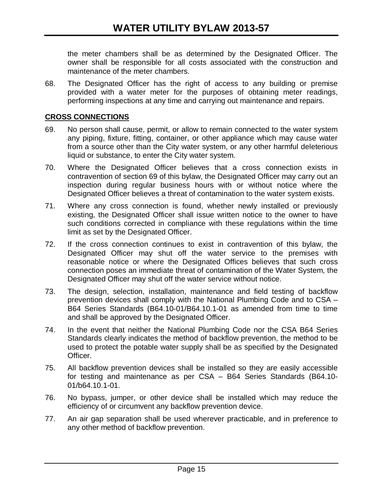the meter chambers shall be as determined by the Designated Officer. The owner shall be responsible for all costs associated with the construction and maintenance of the meter chambers.

68. The Designated Officer has the right of access to any building or premise provided with a water meter for the purposes of obtaining meter readings, performing inspections at any time and carrying out maintenance and repairs.

#### **CROSS CONNECTIONS**

- 69. No person shall cause, permit, or allow to remain connected to the water system any piping, fixture, fitting, container, or other appliance which may cause water from a source other than the City water system, or any other harmful deleterious liquid or substance, to enter the City water system.
- 70. Where the Designated Officer believes that a cross connection exists in contravention of section 69 of this bylaw, the Designated Officer may carry out an inspection during regular business hours with or without notice where the Designated Officer believes a threat of contamination to the water system exists.
- 71. Where any cross connection is found, whether newly installed or previously existing, the Designated Officer shall issue written notice to the owner to have such conditions corrected in compliance with these regulations within the time limit as set by the Designated Officer.
- 72. If the cross connection continues to exist in contravention of this bylaw, the Designated Officer may shut off the water service to the premises with reasonable notice or where the Designated Offices believes that such cross connection poses an immediate threat of contamination of the Water System, the Designated Officer may shut off the water service without notice.
- 73. The design, selection, installation, maintenance and field testing of backflow prevention devices shall comply with the National Plumbing Code and to CSA – B64 Series Standards (B64.10-01/B64.10.1-01 as amended from time to time and shall be approved by the Designated Officer.
- 74. In the event that neither the National Plumbing Code nor the CSA B64 Series Standards clearly indicates the method of backflow prevention, the method to be used to protect the potable water supply shall be as specified by the Designated Officer.
- 75. All backflow prevention devices shall be installed so they are easily accessible for testing and maintenance as per CSA – B64 Series Standards (B64.10- 01/b64.10.1-01.
- 76. No bypass, jumper, or other device shall be installed which may reduce the efficiency of or circumvent any backflow prevention device.
- 77. An air gap separation shall be used wherever practicable, and in preference to any other method of backflow prevention.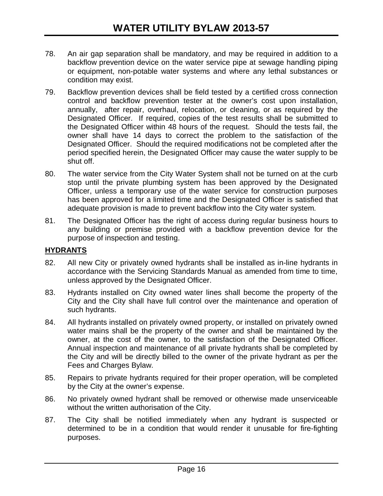- 78. An air gap separation shall be mandatory, and may be required in addition to a backflow prevention device on the water service pipe at sewage handling piping or equipment, non-potable water systems and where any lethal substances or condition may exist.
- 79. Backflow prevention devices shall be field tested by a certified cross connection control and backflow prevention tester at the owner's cost upon installation, annually, after repair, overhaul, relocation, or cleaning, or as required by the Designated Officer. If required, copies of the test results shall be submitted to the Designated Officer within 48 hours of the request. Should the tests fail, the owner shall have 14 days to correct the problem to the satisfaction of the Designated Officer. Should the required modifications not be completed after the period specified herein, the Designated Officer may cause the water supply to be shut off.
- 80. The water service from the City Water System shall not be turned on at the curb stop until the private plumbing system has been approved by the Designated Officer, unless a temporary use of the water service for construction purposes has been approved for a limited time and the Designated Officer is satisfied that adequate provision is made to prevent backflow into the City water system.
- 81. The Designated Officer has the right of access during regular business hours to any building or premise provided with a backflow prevention device for the purpose of inspection and testing.

# **HYDRANTS**

- 82. All new City or privately owned hydrants shall be installed as in-line hydrants in accordance with the Servicing Standards Manual as amended from time to time, unless approved by the Designated Officer.
- 83. Hydrants installed on City owned water lines shall become the property of the City and the City shall have full control over the maintenance and operation of such hydrants.
- 84. All hydrants installed on privately owned property, or installed on privately owned water mains shall be the property of the owner and shall be maintained by the owner, at the cost of the owner, to the satisfaction of the Designated Officer. Annual inspection and maintenance of all private hydrants shall be completed by the City and will be directly billed to the owner of the private hydrant as per the Fees and Charges Bylaw.
- 85. Repairs to private hydrants required for their proper operation, will be completed by the City at the owner's expense.
- 86. No privately owned hydrant shall be removed or otherwise made unserviceable without the written authorisation of the City.
- 87. The City shall be notified immediately when any hydrant is suspected or determined to be in a condition that would render it unusable for fire-fighting purposes.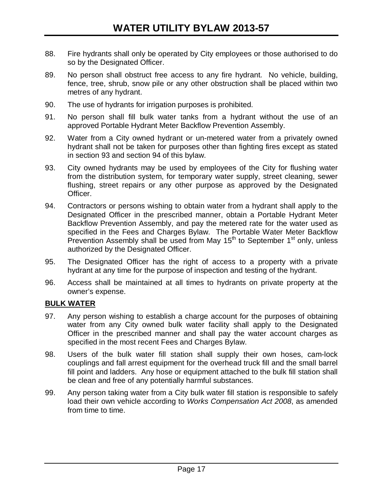- 88. Fire hydrants shall only be operated by City employees or those authorised to do so by the Designated Officer.
- 89. No person shall obstruct free access to any fire hydrant. No vehicle, building, fence, tree, shrub, snow pile or any other obstruction shall be placed within two metres of any hydrant.
- 90. The use of hydrants for irrigation purposes is prohibited.
- 91. No person shall fill bulk water tanks from a hydrant without the use of an approved Portable Hydrant Meter Backflow Prevention Assembly.
- 92. Water from a City owned hydrant or un-metered water from a privately owned hydrant shall not be taken for purposes other than fighting fires except as stated in section 93 and section 94 of this bylaw.
- 93. City owned hydrants may be used by employees of the City for flushing water from the distribution system, for temporary water supply, street cleaning, sewer flushing, street repairs or any other purpose as approved by the Designated Officer.
- 94. Contractors or persons wishing to obtain water from a hydrant shall apply to the Designated Officer in the prescribed manner, obtain a Portable Hydrant Meter Backflow Prevention Assembly, and pay the metered rate for the water used as specified in the Fees and Charges Bylaw. The Portable Water Meter Backflow Prevention Assembly shall be used from May  $15<sup>th</sup>$  to September  $1<sup>st</sup>$  only, unless authorized by the Designated Officer.
- 95. The Designated Officer has the right of access to a property with a private hydrant at any time for the purpose of inspection and testing of the hydrant.
- 96. Access shall be maintained at all times to hydrants on private property at the owner's expense.

# **BULK WATER**

- 97. Any person wishing to establish a charge account for the purposes of obtaining water from any City owned bulk water facility shall apply to the Designated Officer in the prescribed manner and shall pay the water account charges as specified in the most recent Fees and Charges Bylaw.
- 98. Users of the bulk water fill station shall supply their own hoses, cam-lock couplings and fall arrest equipment for the overhead truck fill and the small barrel fill point and ladders. Any hose or equipment attached to the bulk fill station shall be clean and free of any potentially harmful substances.
- 99. Any person taking water from a City bulk water fill station is responsible to safely load their own vehicle according to *Works Compensation Act 2008*, as amended from time to time.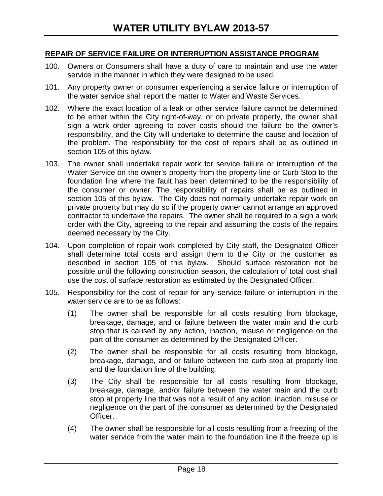#### **REPAIR OF SERVICE FAILURE OR INTERRUPTION ASSISTANCE PROGRAM**

- 100. Owners or Consumers shall have a duty of care to maintain and use the water service in the manner in which they were designed to be used.
- 101. Any property owner or consumer experiencing a service failure or interruption of the water service shall report the matter to Water and Waste Services.
- 102. Where the exact location of a leak or other service failure cannot be determined to be either within the City right-of-way, or on private property, the owner shall sign a work order agreeing to cover costs should the failure be the owner's responsibility, and the City will undertake to determine the cause and location of the problem. The responsibility for the cost of repairs shall be as outlined in section 105 of this bylaw.
- 103. The owner shall undertake repair work for service failure or interruption of the Water Service on the owner's property from the property line or Curb Stop to the foundation line where the fault has been determined to be the responsibility of the consumer or owner. The responsibility of repairs shall be as outlined in section 105 of this bylaw. The City does not normally undertake repair work on private property but may do so if the property owner cannot arrange an approved contractor to undertake the repairs. The owner shall be required to a sign a work order with the City, agreeing to the repair and assuming the costs of the repairs deemed necessary by the City.
- 104. Upon completion of repair work completed by City staff, the Designated Officer shall determine total costs and assign them to the City or the customer as described in section 105 of this bylaw. Should surface restoration not be possible until the following construction season, the calculation of total cost shall use the cost of surface restoration as estimated by the Designated Officer.
- 105. Responsibility for the cost of repair for any service failure or interruption in the water service are to be as follows:
	- (1) The owner shall be responsible for all costs resulting from blockage, breakage, damage, and or failure between the water main and the curb stop that is caused by any action, inaction, misuse or negligence on the part of the consumer as determined by the Designated Officer.
	- (2) The owner shall be responsible for all costs resulting from blockage, breakage, damage, and or failure between the curb stop at property line and the foundation line of the building.
	- (3) The City shall be responsible for all costs resulting from blockage, breakage, damage, and/or failure between the water main and the curb stop at property line that was not a result of any action, inaction, misuse or negligence on the part of the consumer as determined by the Designated Officer.
	- (4) The owner shall be responsible for all costs resulting from a freezing of the water service from the water main to the foundation line if the freeze up is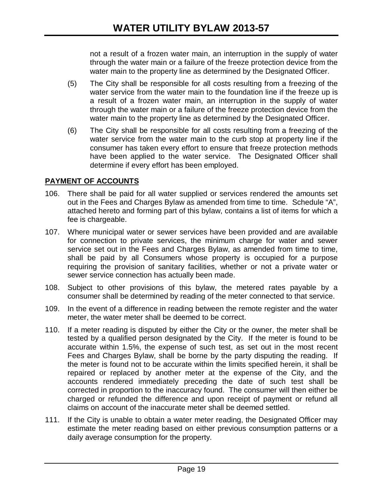not a result of a frozen water main, an interruption in the supply of water through the water main or a failure of the freeze protection device from the water main to the property line as determined by the Designated Officer.

- (5) The City shall be responsible for all costs resulting from a freezing of the water service from the water main to the foundation line if the freeze up is a result of a frozen water main, an interruption in the supply of water through the water main or a failure of the freeze protection device from the water main to the property line as determined by the Designated Officer.
- (6) The City shall be responsible for all costs resulting from a freezing of the water service from the water main to the curb stop at property line if the consumer has taken every effort to ensure that freeze protection methods have been applied to the water service. The Designated Officer shall determine if every effort has been employed.

# **PAYMENT OF ACCOUNTS**

- 106. There shall be paid for all water supplied or services rendered the amounts set out in the Fees and Charges Bylaw as amended from time to time. Schedule "A", attached hereto and forming part of this bylaw, contains a list of items for which a fee is chargeable.
- 107. Where municipal water or sewer services have been provided and are available for connection to private services, the minimum charge for water and sewer service set out in the Fees and Charges Bylaw, as amended from time to time, shall be paid by all Consumers whose property is occupied for a purpose requiring the provision of sanitary facilities, whether or not a private water or sewer service connection has actually been made.
- 108. Subject to other provisions of this bylaw, the metered rates payable by a consumer shall be determined by reading of the meter connected to that service.
- 109. In the event of a difference in reading between the remote register and the water meter, the water meter shall be deemed to be correct.
- 110. If a meter reading is disputed by either the City or the owner, the meter shall be tested by a qualified person designated by the City. If the meter is found to be accurate within 1.5%, the expense of such test, as set out in the most recent Fees and Charges Bylaw, shall be borne by the party disputing the reading. If the meter is found not to be accurate within the limits specified herein, it shall be repaired or replaced by another meter at the expense of the City, and the accounts rendered immediately preceding the date of such test shall be corrected in proportion to the inaccuracy found. The consumer will then either be charged or refunded the difference and upon receipt of payment or refund all claims on account of the inaccurate meter shall be deemed settled.
- 111. If the City is unable to obtain a water meter reading, the Designated Officer may estimate the meter reading based on either previous consumption patterns or a daily average consumption for the property.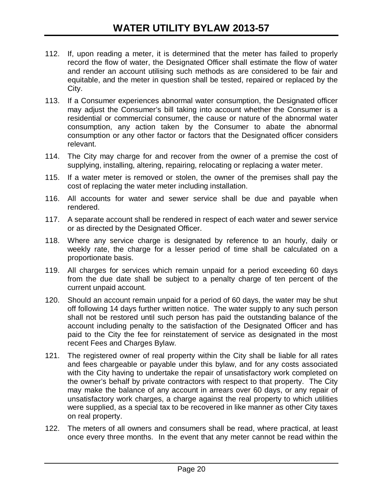- 112. If, upon reading a meter, it is determined that the meter has failed to properly record the flow of water, the Designated Officer shall estimate the flow of water and render an account utilising such methods as are considered to be fair and equitable, and the meter in question shall be tested, repaired or replaced by the City.
- 113. If a Consumer experiences abnormal water consumption, the Designated officer may adjust the Consumer's bill taking into account whether the Consumer is a residential or commercial consumer, the cause or nature of the abnormal water consumption, any action taken by the Consumer to abate the abnormal consumption or any other factor or factors that the Designated officer considers relevant.
- 114. The City may charge for and recover from the owner of a premise the cost of supplying, installing, altering, repairing, relocating or replacing a water meter.
- 115. If a water meter is removed or stolen, the owner of the premises shall pay the cost of replacing the water meter including installation.
- 116. All accounts for water and sewer service shall be due and payable when rendered.
- 117. A separate account shall be rendered in respect of each water and sewer service or as directed by the Designated Officer.
- 118. Where any service charge is designated by reference to an hourly, daily or weekly rate, the charge for a lesser period of time shall be calculated on a proportionate basis.
- 119. All charges for services which remain unpaid for a period exceeding 60 days from the due date shall be subject to a penalty charge of ten percent of the current unpaid account.
- 120. Should an account remain unpaid for a period of 60 days, the water may be shut off following 14 days further written notice. The water supply to any such person shall not be restored until such person has paid the outstanding balance of the account including penalty to the satisfaction of the Designated Officer and has paid to the City the fee for reinstatement of service as designated in the most recent Fees and Charges Bylaw.
- 121. The registered owner of real property within the City shall be liable for all rates and fees chargeable or payable under this bylaw, and for any costs associated with the City having to undertake the repair of unsatisfactory work completed on the owner's behalf by private contractors with respect to that property. The City may make the balance of any account in arrears over 60 days, or any repair of unsatisfactory work charges, a charge against the real property to which utilities were supplied, as a special tax to be recovered in like manner as other City taxes on real property.
- 122. The meters of all owners and consumers shall be read, where practical, at least once every three months. In the event that any meter cannot be read within the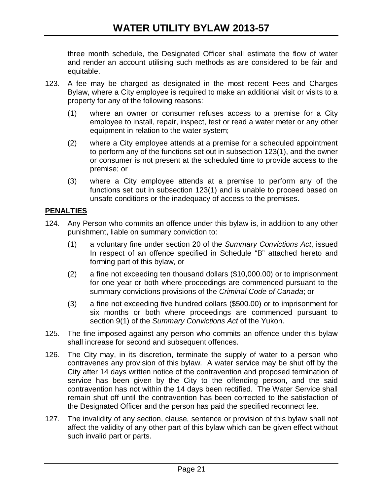three month schedule, the Designated Officer shall estimate the flow of water and render an account utilising such methods as are considered to be fair and equitable.

- 123. A fee may be charged as designated in the most recent Fees and Charges Bylaw, where a City employee is required to make an additional visit or visits to a property for any of the following reasons:
	- (1) where an owner or consumer refuses access to a premise for a City employee to install, repair, inspect, test or read a water meter or any other equipment in relation to the water system;
	- (2) where a City employee attends at a premise for a scheduled appointment to perform any of the functions set out in subsection 123(1), and the owner or consumer is not present at the scheduled time to provide access to the premise; or
	- (3) where a City employee attends at a premise to perform any of the functions set out in subsection 123(1) and is unable to proceed based on unsafe conditions or the inadequacy of access to the premises.

# **PENALTIES**

- 124. Any Person who commits an offence under this bylaw is, in addition to any other punishment, liable on summary conviction to:
	- (1) a voluntary fine under section 20 of the *Summary Convictions Act*, issued In respect of an offence specified in Schedule "B" attached hereto and forming part of this bylaw, or
	- (2) a fine not exceeding ten thousand dollars (\$10,000.00) or to imprisonment for one year or both where proceedings are commenced pursuant to the summary convictions provisions of the *Criminal Code of Canada*; or
	- (3) a fine not exceeding five hundred dollars (\$500.00) or to imprisonment for six months or both where proceedings are commenced pursuant to section 9(1) of the *Summary Convictions Act* of the Yukon.
- 125. The fine imposed against any person who commits an offence under this bylaw shall increase for second and subsequent offences.
- 126. The City may, in its discretion, terminate the supply of water to a person who contravenes any provision of this bylaw. A water service may be shut off by the City after 14 days written notice of the contravention and proposed termination of service has been given by the City to the offending person, and the said contravention has not within the 14 days been rectified. The Water Service shall remain shut off until the contravention has been corrected to the satisfaction of the Designated Officer and the person has paid the specified reconnect fee.
- 127. The invalidity of any section, clause, sentence or provision of this bylaw shall not affect the validity of any other part of this bylaw which can be given effect without such invalid part or parts.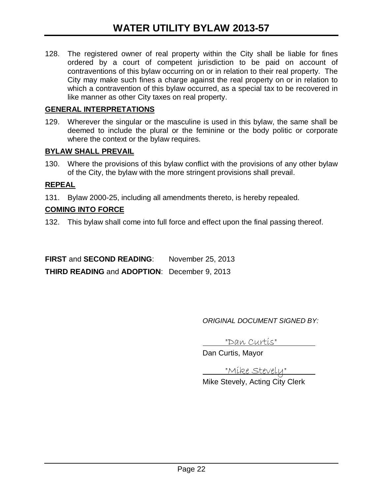128. The registered owner of real property within the City shall be liable for fines ordered by a court of competent jurisdiction to be paid on account of contraventions of this bylaw occurring on or in relation to their real property. The City may make such fines a charge against the real property on or in relation to which a contravention of this bylaw occurred, as a special tax to be recovered in like manner as other City taxes on real property.

#### **GENERAL INTERPRETATIONS**

129. Wherever the singular or the masculine is used in this bylaw, the same shall be deemed to include the plural or the feminine or the body politic or corporate where the context or the bylaw requires.

#### **BYLAW SHALL PREVAIL**

130. Where the provisions of this bylaw conflict with the provisions of any other bylaw of the City, the bylaw with the more stringent provisions shall prevail.

#### **REPEAL**

131. Bylaw 2000-25, including all amendments thereto, is hereby repealed.

#### **COMING INTO FORCE**

132. This bylaw shall come into full force and effect upon the final passing thereof.

**FIRST** and **SECOND READING**: November 25, 2013 **THIRD READING** and **ADOPTION**: December 9, 2013

*ORIGINAL DOCUMENT SIGNED BY:*

"Dan Curtis"

Dan Curtis, Mayor

"Mike Stevely"

Mike Stevely, Acting City Clerk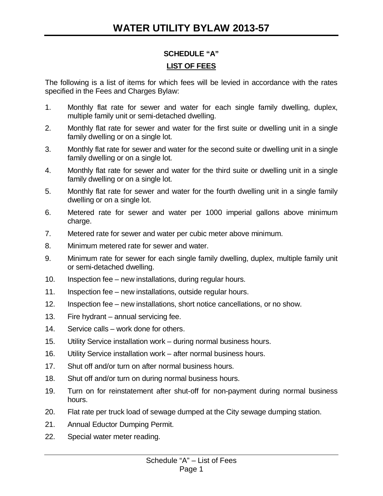# **SCHEDULE "A" LIST OF FEES**

The following is a list of items for which fees will be levied in accordance with the rates specified in the Fees and Charges Bylaw:

- 1. Monthly flat rate for sewer and water for each single family dwelling, duplex, multiple family unit or semi-detached dwelling.
- 2. Monthly flat rate for sewer and water for the first suite or dwelling unit in a single family dwelling or on a single lot.
- 3. Monthly flat rate for sewer and water for the second suite or dwelling unit in a single family dwelling or on a single lot.
- 4. Monthly flat rate for sewer and water for the third suite or dwelling unit in a single family dwelling or on a single lot.
- 5. Monthly flat rate for sewer and water for the fourth dwelling unit in a single family dwelling or on a single lot.
- 6. Metered rate for sewer and water per 1000 imperial gallons above minimum charge.
- 7. Metered rate for sewer and water per cubic meter above minimum.
- 8. Minimum metered rate for sewer and water.
- 9. Minimum rate for sewer for each single family dwelling, duplex, multiple family unit or semi-detached dwelling.
- 10. Inspection fee new installations, during regular hours.
- 11. Inspection fee new installations, outside regular hours.
- 12. Inspection fee new installations, short notice cancellations, or no show.
- 13. Fire hydrant annual servicing fee.
- 14. Service calls work done for others.
- 15. Utility Service installation work during normal business hours.
- 16. Utility Service installation work after normal business hours.
- 17. Shut off and/or turn on after normal business hours.
- 18. Shut off and/or turn on during normal business hours.
- 19. Turn on for reinstatement after shut-off for non-payment during normal business hours.
- 20. Flat rate per truck load of sewage dumped at the City sewage dumping station.
- 21. Annual Eductor Dumping Permit.
- 22. Special water meter reading.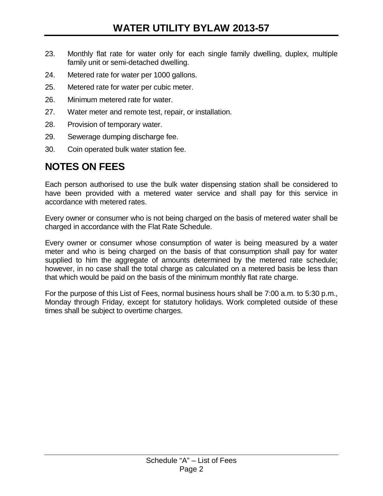- 23. Monthly flat rate for water only for each single family dwelling, duplex, multiple family unit or semi-detached dwelling.
- 24. Metered rate for water per 1000 gallons.
- 25. Metered rate for water per cubic meter.
- 26. Minimum metered rate for water.
- 27. Water meter and remote test, repair, or installation.
- 28. Provision of temporary water.
- 29. Sewerage dumping discharge fee.
- 30. Coin operated bulk water station fee.

# **NOTES ON FEES**

Each person authorised to use the bulk water dispensing station shall be considered to have been provided with a metered water service and shall pay for this service in accordance with metered rates.

Every owner or consumer who is not being charged on the basis of metered water shall be charged in accordance with the Flat Rate Schedule.

Every owner or consumer whose consumption of water is being measured by a water meter and who is being charged on the basis of that consumption shall pay for water supplied to him the aggregate of amounts determined by the metered rate schedule; however, in no case shall the total charge as calculated on a metered basis be less than that which would be paid on the basis of the minimum monthly flat rate charge.

For the purpose of this List of Fees, normal business hours shall be 7:00 a.m. to 5:30 p.m., Monday through Friday, except for statutory holidays. Work completed outside of these times shall be subject to overtime charges.